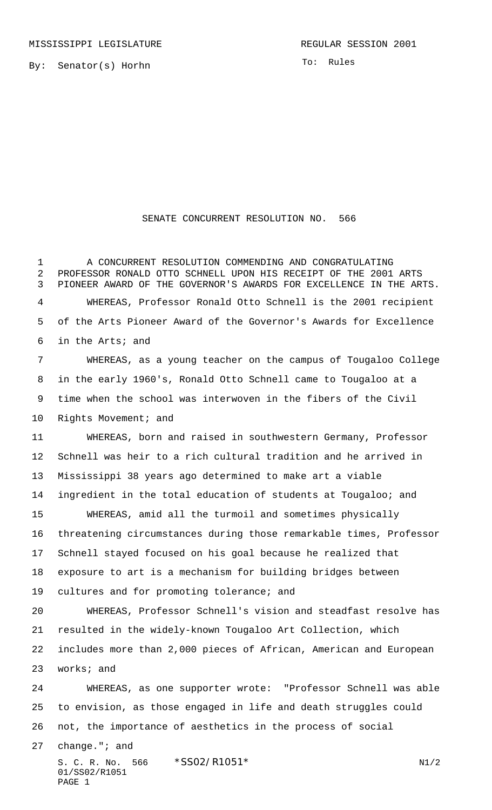By: Senator(s) Horhn

To: Rules

## SENATE CONCURRENT RESOLUTION NO. 566

 A CONCURRENT RESOLUTION COMMENDING AND CONGRATULATING PROFESSOR RONALD OTTO SCHNELL UPON HIS RECEIPT OF THE 2001 ARTS PIONEER AWARD OF THE GOVERNOR'S AWARDS FOR EXCELLENCE IN THE ARTS. WHEREAS, Professor Ronald Otto Schnell is the 2001 recipient of the Arts Pioneer Award of the Governor's Awards for Excellence in the Arts; and

 WHEREAS, as a young teacher on the campus of Tougaloo College in the early 1960's, Ronald Otto Schnell came to Tougaloo at a time when the school was interwoven in the fibers of the Civil 10 Rights Movement; and

 WHEREAS, born and raised in southwestern Germany, Professor Schnell was heir to a rich cultural tradition and he arrived in Mississippi 38 years ago determined to make art a viable ingredient in the total education of students at Tougaloo; and WHEREAS, amid all the turmoil and sometimes physically threatening circumstances during those remarkable times, Professor Schnell stayed focused on his goal because he realized that exposure to art is a mechanism for building bridges between

cultures and for promoting tolerance; and

 WHEREAS, Professor Schnell's vision and steadfast resolve has resulted in the widely-known Tougaloo Art Collection, which includes more than 2,000 pieces of African, American and European works; and

 WHEREAS, as one supporter wrote: "Professor Schnell was able to envision, as those engaged in life and death struggles could not, the importance of aesthetics in the process of social

change."; and

S. C. R. No. 566 \*SS02/R1051\* N1/2 01/SS02/R1051 PAGE 1